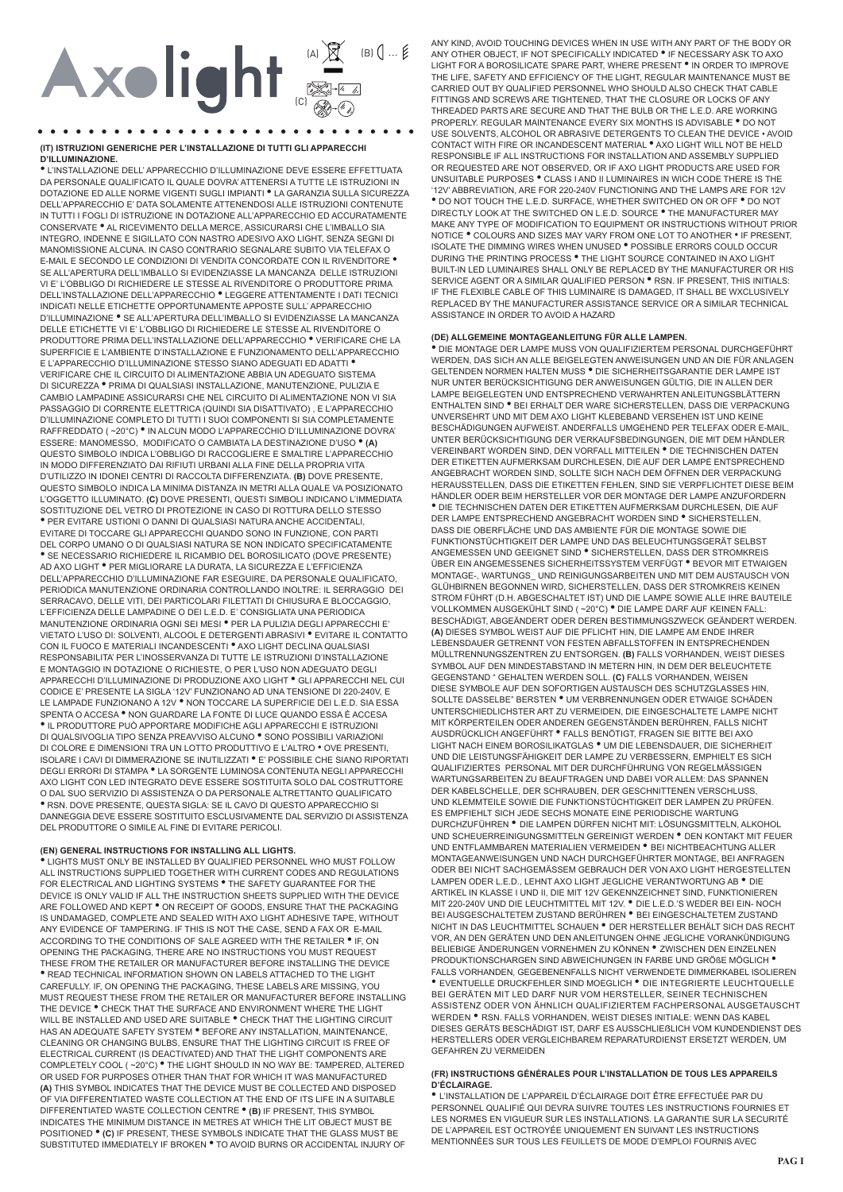# Axolight **Exercise**

(IT) ISTRUZIONI GENERICHE PER L'INSTALLAZIONE DI TUTTI GLI APPARECCHI D'ILLUMINAZIONE.

\* L'INSTALLAZIONE DELL'APPARECCHIO D'ILLUMINAZIONE DEVE ESSERE EFFETTUATA DA PERSONALE QUALIFICATO IL QUALE DOVRA' ATTENERSI A TUTTE LE ISTRUZIONI IN DOTAZIONE ED ALLE NORME VIGENTI SUGLI IMPIANTI <sup>·</sup> LA GARANZIA SULLA SICUREZZA DELL'APPARECCHIO E' DATA SOLAMENTE ATTENENDOSI ALLE ISTRUZIONI CONTENUTE IN TUTTI LEOGLI DI ISTRUZIONE IN DOTAZIONE ALL'APPARECCHIO ED ACCURATAMENTE CONSERVATE . AL RICEVIMENTO DELLA MERCE, ASSICURARSI CHE L'IMBALLO SIA INTEGRO, INDENNE E SIGILLATO CON NASTRO ADESIVO AXO LIGHT, SENZA SEGNI DI MANOMISSIONE ALCUNA. IN CASO CONTRARIO SEGNALARE SUBITO VIA TELEFAX O E-MAIL E SECONDO LE CONDIZIONI DI VENDITA CONCORDATE CON IL RIVENDITORE SE ALL'APERTURA DELL'IMBALLO SI EVIDENZIASSE LA MANCANZA DELLE ISTRUZIONI VI E' L'OBBLIGO DI RICHIEDERE LE STESSE AL RIVENDITORE O PRODUTTORE PRIMA DELL'INSTALLAZIONE DELL'APPARECCHIO<sup>®</sup> LEGGERE ATTENTAMENTE I DATI TECNICI INDICATI NELLE ETICHETTE OPPORTUNAMENTE APPOSTE SULL'APPARECCHIO D'ILLUMINAZIONE <sup>•</sup> SE ALL'APERTURA DELL'IMBALLO SI EVIDENZIASSE LA MANCANZA DELLE ETICHETTE VI E' L'OBBLIGO DI RICHIEDERE LE STESSE AL RIVENDITORE O PRODUTTORE PRIMA DELL'INSTALLAZIONE DELL'APPARECCHIO \* VERIFICARE CHE LA SUPERFICIE E L'AMBIENTE D'INSTALLAZIONE E FUNZIONAMENTO DELL'APPARECCHIO<br>E L'APPARECCHIO D'ILLUMINAZIONE STESSO SIANO ADEGUATI ED ADATTI ® VERIFICARE CHE IL CIRCUITO DI ALIMENTAZIONE ABBIA UN ADEGUATO SISTEMA DI SICUREZZA <sup>·</sup> PRIMA DI QUALSIASI INSTALLAZIONE, MANUTENZIONE, PULIZIA E CAMBIO LAMPADINE ASSICURARSI CHE NEL CIRCUITO DI ALIMENTAZIONE NON VI SIA PASSAGGIO DI CORRENTE ELETTRICA (QUINDI SIA DISATTIVATO), E L'APPARECCHIO D'ILLUMINAZIONE COMPLETO DI TUTTI I SUOI COMPONENTI SI SIA COMPLETAMENTE<br>RAFFREDDATO (~20°C) \* IN ALCUN MODO L'APPARECCHIO D'ILLUMINAZIONE DOVRA' ESSERE: MANOMESSO, MODIFICATO O CAMBIATA LA DESTINAZIONE D'USO <sup>.</sup> (A) QUESTO SIMBOLO INDICA L'OBBLIGO DI RACCOGLIERE E SMALTIRE L'APPARECCHIO IN MODO DIFFERENZIATO DAI RIFIUTI URBANI ALLA FINE DELLA PROPRIA VITA D'UTILIZZO IN IDONEI CENTRI DI RACCOLTA DIFFERENZIATA. (B) DOVE PRESENTE, QUESTO SIMBOLO INDICA LA MINIMA DISTANZA IN METRI ALLA QUALE VA POSIZIONATO L'OGGETTO ILLUMINATO. (C) DOVE PRESENTI, QUESTI SIMBOLI INDICANO L'IMMEDIATA SOSTITUZIONE DEL VETRO DI PROTEZIONE IN CASO DI ROTTURA DELLO STESSO \* PER EVITARE USTIONI O DANNI DI QUALSIASI NATURA ANCHE ACCIDENTALI. EVITARE DI TOCCARE GLI APPARECCHI QUANDO SONO IN FUNZIONE, CON PARTI DEL CORPO UMANO O DI QUALSIASI NATURA SE NON INDICATO SPECIFICATAMENTE \* SE NECESSARIO RICHIEDERE IL RICAMBIO DEL BOROSILICATO (DOVE PRESENTE) AD AXO LIGHT \* PER MIGLIORARE LA DURATA, LA SICUREZZA E L'EFFICIENZA DELL'APPARECCHIO D'ILLUMINAZIONE FAR ESEGUIRE, DA PERSONALE QUALIFICATO, PERIODICA MANUTENZIONE ORDINARIA CONTROLLANDO INOLTRE: IL SERRAGGIO DEI SERRACAVO, DELLE VITI, DEI PARTICOLARI FILETTATI DI CHIUSURA E BLOCCAGGIO, L'EFFICIENZA DELLE LAMPADINE O DEI L.E.D. E' CONSIGLIATA UNA PERIODICA MANUTENZIONE ORDINARIA OGNI SEI MESI <sup>·</sup> PER LA PULIZIA DEGLI APPARECCHI E VIETATO L'USO DI: SOLVENTI, ALCOOL E DETERGENTI ABRASIVI <sup>·</sup> EVITARE IL CONTATTO CON IL FUOCO E MATERIALI INCANDESCENTI <sup>·</sup> AXO LIGHT DECLINA QUALSIASI ESPONSABILITA' PER L'INOSSERVANZA DI TUTTE LE ISTRUZIONI D'INSTALLAZIONE<br>E MONTAGGIO IN DOTAZIONE O RICHIESTE, O PER L'USO NON ADEGUATO DEGLI APPARECCHI D'ILLUMINAZIONE DI PRODUZIONE AXO LIGHT <sup>.</sup> GLI APPARECCHI NEL CUI CODICE E' PRESENTE LA SIGLA '12V' FUNZIONANO AD UNA TENSIONE DI 220-240V, E LE LAMPADE FUNZIONANO A 12V <sup>\*</sup> NON TOCCARE LA SUPERFICIE DEI L.E.D. SIA ESSA SPENTA O ACCESA <sup>.</sup> NON GUARDARE LA FONTE DI LUCE QUANDO ESSA È ACCESA \* IL PRODUTTORE PUÒ APPORTARE MODIFICHE AGLI APPARECCHI E ISTRUZIONI<br>DI QUALSIVOGLIA TIPO SENZA PREAVVISO ALCUNO \* SONO POSSIBILI VARIAZIONI DI COLORE E DIMENSIONI TRA UN LOTTO PRODUTTIVO E L'ALTRO • OVE PRESENTI, ISOLARE I CAVI DI DIMMERAZIONE SE INUTILIZZATI <sup>.</sup> E' POSSIBILE CHE SIANO RIPORTATI DEGLI ERRORI DI STAMPA <sup>.</sup> LA SORGENTE LUMINOSA CONTENUTA NEGLI APPARECCHI AXO LIGHT CON LED INTEGRATO DEVE ESSERE SOSTITUITA SOLO DAL COSTRUTTORE O DAL SUO SERVIZIO DI ASSISTENZA O DA PERSONALE ALTRETTANTO QUALIFICATO \* RSN. DOVE PRESENTE, QUESTA SIGLA: SE IL CAVO DI QUESTO APPARECCHIO SI<br>DANNEGGIA DEVE ESSERE SOSTITUITO ESCLUSIVAMENTE DAL SERVIZIO DI ASSISTENZA DEL PRODUTTORE O SIMILE AL FINE DI EVITARE PERICOLI.

## (EN) GENERAL INSTRUCTIONS FOR INSTALLING ALL LIGHTS.

. LIGHTS MUST ONLY BE INSTALLED BY QUALIFIED PERSONNEL WHO MUST FOLLOW ALL INSTRUCTIONS SUPPLIED TOGETHER WITH CURRENT CODES AND REGULATIONS<br>FOR ELECTRICAL AND LIGHTING SYSTEMS . THE SAFETY GUARANTEE FOR THE DEVICE IS ONLY VALID IF ALL THE INSTRUCTION SHEETS SUPPLIED WITH THE DEVICE ARE FOLLOWED AND KEPT <sup>.</sup> ON RECEIPT OF GOODS, ENSURE THAT THE PACKAGING IS UNDAMAGED, COMPLETE AND SEALED WITH AXO LIGHT ADHESIVE TAPE, WITHOUT ANY EVIDENCE OF TAMPERING. IF THIS IS NOT THE CASE, SEND A FAX OR E-MAIL ACCORDING TO THE CONDITIONS OF SALE AGREED WITH THE RETAILER . IF, ON OPENING THE PACKAGING, THERE ARE NO INSTRUCTIONS YOU MUST REQUEST THESE FROM THE RETAILER OR MANUFACTURER BEFORE INSTALLING THE DEVICE THE CONDITION IN THE PACKAGING, THESE LABELS ATTACHED TO THE LIGHT CAREFULLY. IF, ON OPENING THE PACKAGING, THESE LABELS ARE MISSING, YOU MUST REQUEST THESE FROM THE RETAILER OR MANUFACTURER BEFORE INSTALLING THE DEVICE . CHECK THAT THE SURFACE AND ENVIRONMENT WHERE THE LIGHT WILL BE INSTALLED AND USED ARE SUITABLE . CHECK THAT THE LIGHTING CIRCUIT HAS AN ADEQUATE SAFETY SYSTEM . BEFORE ANY INSTALLATION, MAINTENANCE, CLEANING OR CHANGING BULBS. ENSURE THAT THE LIGHTING CIRCUIT IS FREE OF ELECTRICAL CURRENT (IS DEACTIVATED) AND THAT THE LIGHT COMPONENTS ARE COMPLETELY COOL (~20°C) \* THE LIGHT SHOULD IN NO WAY BE: TAMPERED, ALTERED OR USED FOR PURPOSES OTHER THAN THAT FOR WHICH IT WAS MANUFACTURED (A) THIS SYMBOL INDICATES THAT THE DEVICE MUST BE COLLECTED AND DISPOSED (A) THE END OF ITS LIFE IN A SUITABLE<br>DIFFERENTIATED WASTE COLLECTION AT THE END OF ITS LIFE IN A SUITABLE<br>DIFFERENTIATED WASTE COLLECTION CENTRE <sup>®</sup> (B) IF PRESENT, THIS SYMBOL<br>INDICATES THE MINIMUM DISTANCE IN METRES AT POSITIONED <sup>.</sup> (C) IF PRESENT, THESE SYMBOLS INDICATE THAT THE GLASS MUST BE SUBSTITUTED IMMEDIATELY IF BROKEN . TO AVOID BURNS OR ACCIDENTAL INJURY OF

ANY KIND, AVOID TOUCHING DEVICES WHEN IN USE WITH ANY PART OF THE BODY OR<br>ANY OTHER OBJECT, IF NOT SPECIFICALLY INDICATED \* IF NECESSARY ASK TO AXO LIGHT FOR A BOROSILICATE SPARE PART, WHERE PRESENT . IN ORDER TO IMPROVE THE LIFE SAFETY AND FEFICIENCY OF THE LIGHT REGULAR MAINTENANCE MUST BE CARRIED OUT BY QUALIFIED PERSONNEL WHO SHOULD ALSO CHECK THAT CABLE FITTINGS AND SCREWS ARE TIGHTENED, THAT THE CLOSURE OR LOCKS OF ANY THREADED PARTS ARE SECURE AND THAT THE BULB OR THE L.E.D. ARE WORKING PROPERLY. REGULAR MAINTENANCE EVERY SIX MONTHS IS ADVISABLE . DO NOT USE SOLVENTS, ALCOHOL OR ABRASIVE DETERGENTS TO CLEAN THE DEVICE • AVOID CONTACT WITH FIRE OR INCANDESCENT MATERIAL <sup>®</sup> AXO LIGHT WILL NOT BE HELD RESPONSIBLE IF ALL INSTRUCTIONS FOR INSTALLATION AND ASSEMBLY SUPPLIED OR REQUESTED ARE NOT OBSERVED, OR IF AXO LIGHT PRODUCTS ARE USED FOR UNSUITABLE PURPOSES . CLASS I AND II LUMINAIRES IN WICH CODE THERE IS THE '12V' ABBREVIATION, ARE FOR 220-240V FUNCTIONING AND THE LAMPS ARE FOR 12V \* DO NOT TOUCH THE L.E.D. SURFACE, WHETHER SWITCHED ON OR OFF \* DO NOT DIRECTLY LOOK AT THE SWITCHED ON L.E.D. SOURCE \* THE MANUFACTURER MAY MAKE ANY TYPE OF MODIFICATION TO EQUIPMENT OR INSTRUCTIONS WITHOUT PRIOR NOTICE . COLOURS AND SIZES MAY VARY FROM ONE LOT TO ANOTHER . IF PRESENT, ISOLATE THE DIMMING WIRES WHEN UNUSED \* POSSIBLE ERRORS COULD OCCUR DURING THE PRINTING PROCESS . THE LIGHT SOURCE CONTAINED IN AXO LIGHT BUILT-IN LED LUMINAIRES SHALL ONLY BE REPLACED BY THE MANUFACTURER OR HIS SERVICE AGENT OR A SIMILAR QUALIFIED PERSON <sup>®</sup> RSN. IF PRESENT, THIS INITIALS:<br>IF THE ELEXIBLE CABLE OF THIS LUMINAIRE IS DAMAGED. IT SHALL BE WXCLUSIVELY REPLACED BY THE MANUFACTURER ASSISTANCE SERVICE OR A SIMILAR TECHNICAL ASSISTANCE IN ORDER TO AVOID A HAZARD

### (DE) ALLGEMEINE MONTAGEANLEITUNG FÜR ALLE LAMPEN.

DIE MONTAGE DER LAMPE MUSS VON QUALIFIZIERTEM PERSONAL DURCHGEFÜHRT WERDEN. DAS SICH AN ALLE BEIGELEGTEN ANWEISUNGEN UND AN DIE FÜR ANLAGEN GELTENDEN NORMEN HALTEN MUSS . DIE SICHERHEITSGARANTIE DER LAMPE IST NUR UNTER BERÜCKSICHTIGUNG DER ANWEISUNGEN GÜLTIG. DIE IN ALLEN DER LAMPE BEIGELEGTEN UND ENTSPRECHEND VERWAHRTEN ANLEITUNGSBLÄTTERN ENTHALTEN SIND \* BEI ERHALT DER WARE SICHERSTELLEN, DASS DIE VERPACKUNG UNVERSEHRT UND MIT DEM AXO LIGHT KLEBEBAND VERSEHEN IST UND KEINE BESCHÄDIGUNGEN AUFWEIST, ANDERFALLS UMGEHEND PER TELEFAX ODER E-MAIL. UNTER BERÜCKSICHTIGUNG DER VERKAUFSBEDINGUNGEN, DIE MIT DEM HÄNDLER VEREINBART WORDEN SIND. DEN VORFALL MITTEILEN <sup>·</sup> DIE TECHNISCHEN DATEN DER ETIKETTEN AUFMERKSAM DURCHLESEN. DIE AUF DER LAMPE ENTSPRECHEND ANGEBRACHT WORDEN SIND, SOLLTE SICH NACH DEM ÖFFNEN DER VERPACKUNG HERAUSSTELLEN, DASS DIE ETIKETTEN FEHLEN, SIND SIE VERPFLICHTET DIESE BEIM HÄNDLER ODER BEIM HERSTELLER VOR DER MONTAGE DER LAMPE ANZUFORDERN \* DIE TECHNISCHEN DATEN DER ETIKETTEN AUFMERKSAM DURCHLESEN, DIE AUF DER LAMPE ENTSPRECHEND ANGEBRACHT WORDEN SIND . SICHERSTELLEN DASS DIE OBERFLÄCHE UND DAS AMBIENTE FÜR DIE MONTAGE SOWIE DIE FUNKTIONSTÜCHTIGKEIT DER LAMPE UND DAS BELEUCHTUNGSGERÄT SELBST ANGEMESSEN UND GEEIGNET SIND <sup>.</sup> SICHERSTELLEN, DASS DER STROMKREIS ÜBER EIN ANGEMESSENES SICHERHEITSSYSTEM VERFÜGT <sup>\*</sup> BEVOR MIT ETWAIGEN MONTAGE-, WARTUNGS\_ UND REINIGUNGSARBEITEN UND MIT DEM AUSTAUSCH VON GLÜHBIRNEN BEGONNEN WIRD, SICHERSTELLEN, DASS DER STROMKREIS KEINEN STROM FÜHRT (D.H. ABGESCHALTET IST) UND DIE LAMPE SOWIE ALLE IHRE BAUTEILE<br>VOLLKOMMEN AUSGEKÜHLT SIND (~20°C) <sup>®</sup> DIE LAMPE DARF AUF KEINEN FALL: BESCHÄDIGT, ABGEÄNDERT ODER DEREN BESTIMMUNGSZWECK GEÄNDERT WERDEN. (A) DIESES SYMBOL WEIST AUF DIE PFLICHT HIN, DIE LAMPE AM ENDE IHRER LEBENSDAUER GETRENNT VON FESTEN ABFALLSTOFFEN IN ENTSPRECHENDEN MÜLLTRENNUNGSZENTREN ZU ENTSORGEN. (B) FALLS VORHANDEN, WEIST DIESES SYMBOL AUF DEN MINDESTABSTAND IN METERN HIN, IN DEM DER BELEUCHTETE GEGENSTAND " GEHALTEN WERDEN SOLL. (C) FALLS VORHANDEN. WEISEN DIESE SYMBOLE AUF DEN SOFORTIGEN AUSTAUSCH DES SCHUTZGLASSES HIN. SOLLTE DASSELBE" BERSTEN \* UM VERBRENNUNGEN ODER ETWAIGE SCHÄDEN UNTERSCHIEDLICHSTER ART ZU VERMEIDEN, DIE EINGESCHALTETE LAMPE NICHT MIT KÖRPERTEILEN ODER ANDEREN GEGENSTÄNDEN BERÜHREN, FALLS NICHT AUSORUCKLICH ANGEFÜHRT • FALLS BENÖTIGT, FRAGEN SIE BITTE BEI AXO<br>LIGHT NACH EINEM BOROSILIKATGLAS • UM DIE LEBENSDAUER, DIE SICHERHEIT UND DIE LEISTUNGSFÄHIGKEIT DER LAMPE ZU VERBESSERN. EMPHIELT ES SICH QUALIFIZIERTES PERSONAL MIT DER DURCHFÜHRUNG VON REGELMÄSSIGEN WARTUNGSARBEITEN ZU BEAUFTRAGEN UND DABEI VOR ALLEM: DAS SPANNEN DER KABELSCHELLE, DER SCHRAUBEN, DER GESCHNITTENEN VERSCHLUSS UND KLEMMTEILE SOWIE DIE FUNKTIONSTÜCHTIGKEIT DER LAMPEN ZU PRÜFEN. ES EMPFIEHLT SICH JEDE SECHS MONATE EINE PERIODISCHE WARTUNG DURCHZUFÜHREN <sup>·</sup> DIE LAMPEN DÜRFEN NICHT MIT: LÖSUNGSMITTELN, ALKOHOL UND SCHEUERREINIGUNGSMITTELN GEREINIGT WERDEN <sup>.</sup> DEN KONTAKT MIT FEUER UND ENTFLAMMBAREN MATERIALIEN VERMEIDEN <sup>.</sup> BEI NICHTBEACHTUNG ALLER MONTAGEANWEISUNGEN UND NACH DURCHGEFÜHRTER MONTAGE, BEI ANFRAGEN ODER BEI NICHT SACHGEMÄSSEM GEBRAUCH DER VON AXO LIGHT HERGESTELLTEN LAMPEN ODER L.E.D., LEHNT AXO LIGHT JEGLICHE VERANTWORTUNG AB \* DIE ARTIKEL IN KLASSE I UND II, DIE MIT 12V GEKENNZEICHNET SIND, FUNKTIONIEREN<br>MIT 220-240V UND DIE LEUCHTMITTEL MIT 12V. <sup>®</sup> DIE L.E.D.'S WEDER BEI EIN- NOCH<br>BEI AUSGESCHALTETEM ZUSTAND BERÜHREN <sup>®</sup> BEI EINGESCHALTETEM ZUSTAN NICHT IN DAS LEUCHTMITTEL SCHAUEN <sup>.</sup> DER HERSTELLER BEHÄLT SICH DAS RECHT VOR, AN DEN GERÄTEN UND DEN ANLEITUNGEN OHNE JEGLICHE VORANKÜNDIGUNG BELIEBIGE ÄNDERUNGEN VORNEHMEN ZU KÖNNEN · ZWISCHEN DEN EINZELNEN PRODUKTIONSCHARGEN SIND ABWEICHUNGEN IN FARBE UND GRÖßE MÖGLICH \* FALLS VORHANDEN, GEGEBENENFALLS NICHT VERWENDETE DIMMERKABEL ISOLIEREN<br>• EVENTUELLE DRUCKFEHLER SIND MOEGLICH • DIE INTEGRIERTE LEUCHTQUELLE BEI GERÄTEN MIT LED DARF NUR VOM HERSTELLER, SEINER TECHNISCHEN ASSISTENZ ODER VON ÄHNLICH QUALIFIZIERTEM FACHPERSONAL AUSGETAUSCHT WERDEN \* RSN, FALLS VORHANDEN, WEIST DIESES INITIALE: WENN DAS KABEL DIESES GERÄTS BESCHÄDIGT IST, DARF ES AUSSCHLIEßLICH VOM KUNDENDIENST DES HERSTELLERS ODER VERGLEICHBAREM REPARATURDIENST ERSETZT WERDEN, UM GEEAHREN ZU VERMEIDEN

#### (FR) INSTRUCTIONS GÉNÉRALES POUR L'INSTALLATION DE TOUS LES APPAREILS D'ÉCLAIRAGE

\* L'INSTALLATION DE L'APPAREIL D'ÉCLAIRAGE DOIT ÊTRE EFFECTUÉE PAR DU PERSONNEL QUALIFIÉ QUI DEVRA SUIVRE TOUTES LES INSTRUCTIONS FOURNIES ET LES NORMES EN VIGUEUR SUR LES INSTALLATIONS LA GARANTIE SUR LA SECURITÉ DE L'APPAREIL EST OCTROYÉE LINIOLIEMENT EN SUIVANT LES INSTRUCTIONS MENTIONNÉES SUR TOUS LES FEUILLETS DE MODE D'EMPLOI FOURNIS AVEC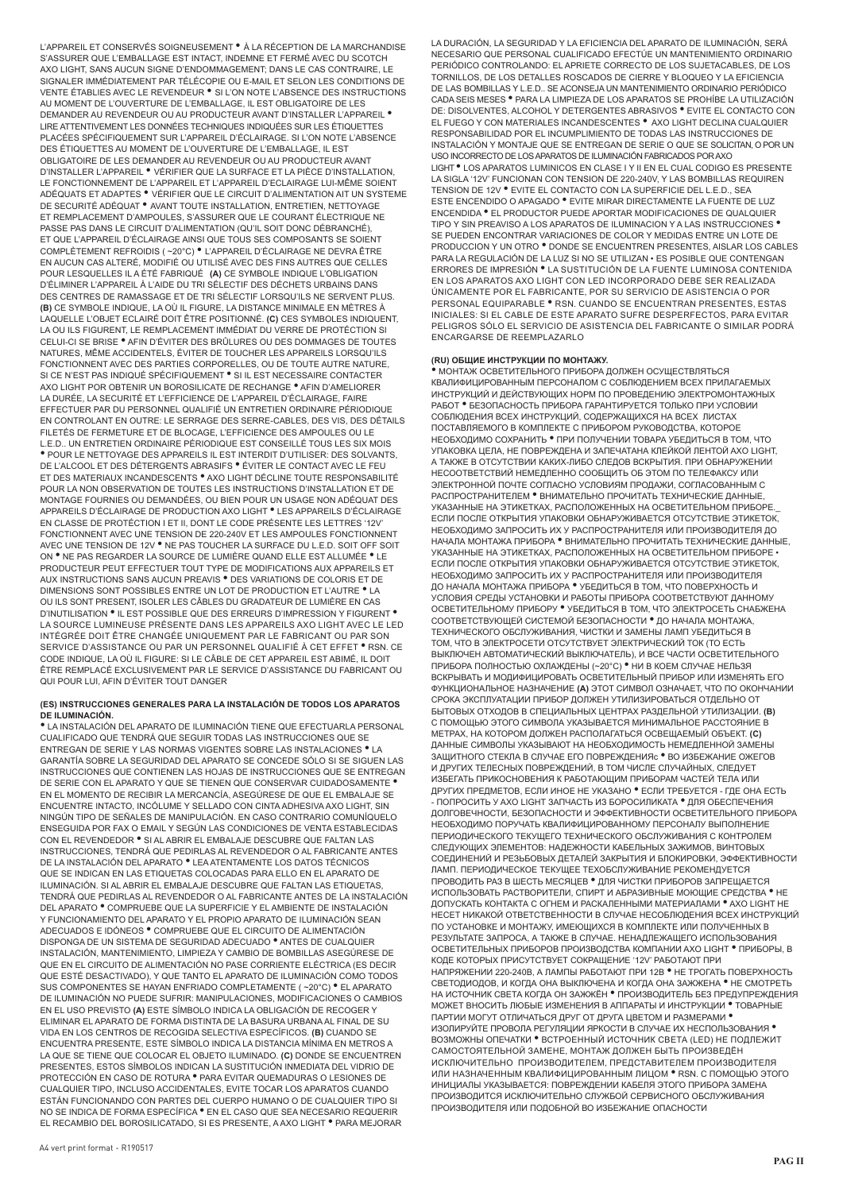L'APPAREIL ET CONSERVÉS SOIGNEUSEMENT • À LA RÉCEPTION DE LA MARCHANDISE S'ASSURER QUE L'EMBALLAGE EST INTACT, INDEMNE ET FERMÉ AVEC DU SCOTCH AXO LIGHT, SANS AUCUN SIGNE D'ENDOMMAGEMENT; DANS LE CAS CONTRAIRE, LE SIGNALER IMMEDIATEMENT PAR TELECOPIE OU E-MAIL ET SELON LES CONDITIONS DE<br>VENTE ÉTABLIES AVEC LE REVENDEUR <sup>®</sup> SI L'ON NOTE L'ABSENCE DES INSTRUCTIONS AU MOMENT DE L'OUVERTURE DE L'EMBALLAGE, IL EST OBLIGATOIRE DE LES DEMANDER AU REVENDEUR OU AU PRODUCTEUR AVANT D'INSTALLER L'APPAREIL • LIRE ATTENTIVEMENT LES DONNÉES TECHNIQUES INDIQUÉES SUR LES ÉTIQUETTES PLACÉES SPÉCIFIQUEMENT SUR L'APPAREIL D'ÉCLAIRAGE. SI L'ON NOTE L'ABSENCE DES ÉTIQUETTES AU MOMENT DE L'OUVERTURE DE L'EMBALLAGE, IL EST OBLIGATOIRE DE LES DEMANDER AU REVENDEUR OU AU PRODUCTEUR AVANT D'INSTALLER L'APPAREIL • VÉRIFIER QUE LA SURFACE ET LA PIÈCE D'INSTALLATION, LE FONCTIONNEMENT DE L'APPAREIL ET L'APPAREIL D'ECLAIRAGE LUI-MÊME SOIENT ADÉQUATS ET ADAPTES • VÉRIFIER QUE LE CIRCUIT D'ALIMENTATION AIT UN SYSTEME DE SECURITÉ ADÉQUAT • AVANT TOUTE INSTALLATION, ENTRETIEN, NETTOYAGE ET REMPLACEMENT D'AMPOULES, S'ASSURER QUE LE COURANT ELECTRIQUE NE<br>PASSE PAS DANS LE CIRCUIT D'ALIMENTATION (QU'IL SOIT DONC DÉBRANCHÉ), ET QUE L'APPAREIL D'ÉCLAIRAGE AINSI QUE TOUS SES COMPOSANTS SE SOIENT COMPLÈTEMENT REFROIDIS ( ~20°C) • L'APPAREIL D'ÉCLAIRAGE NE DEVRA ÊTRE EN AUCUN CAS ALTERÉ, MODIFIÉ OU UTILISÉ AVEC DES FINS AUTRES QUE CELLES POUR LESQUELLES IL A ÉTÉ FABRIQUÉ **(A)** CE SYMBOLE INDIQUE L'OBLIGATION D'ÉLIMINER L'APPAREIL À L'AIDE DU TRI SÉLECTIF DES DÉCHETS URBAINS DANS DES CENTRES DE RAMASSAGE ET DE TRI SÉLECTIF LORSQU'ILS NE SERVENT PLUS. **(B)** CE SYMBOLE INDIQUE, LA OÙ IL FIGURE, LA DISTANCE MINIMALE EN MÈTRES À LAQUELLE L'OBJET ECLAIRÉ DOIT ÊTRE POSITIONNÉ. **(C)** CES SYMBOLES INDIQUENT, LA OU ILS FIGURENT, LE REMPLACEMENT IMMÉDIAT DU VERRE DE PROTÉCTION SI CELUI-CI SE BRISE • AFIN D'ÉVITER DES BRÛLURES OU DES DOMMAGES DE TOUTES NATURES, MÊME ACCIDENTELS, ÉVITER DE TOUCHER LES APPAREILS LORSQU'ILS FONCTIONNENT AVEC DES PARTIES CORPORELLES, OU DE TOUTE AUTRE NATURE,<br>SI CE N'EST PAS INDIQUÉ SPÉCIFIQUEMENT <sup>●</sup> SI IL EST NECESSAIRE CONTACTER AXO LIGHT POR OBTENIR UN BOROSILICATE DE RECHANGE • AFIN D'AMELIORER LA DURÉE, LA SECURITÉ ET L'EFFICIENCE DE L'APPAREIL D'ÉCLAIRAGE, FAIRE EFFECTUER PAR DU PERSONNEL QUALIFIÉ UN ENTRETIEN ORDINAIRE PÉRIODIQUE EN CONTROLANT EN OUTRE: LE SERRAGE DES SERRE-CABLES, DES VIS, DES DÉTAILS FILETÉS DE FERMETURE ET DE BLOCAGE, L'EFFICIENCE DES AMPOULES OU LE L.E.D.. UN ENTRETIEN ORDINAIRE PÉRIODIQUE EST CONSEILLÉ TOUS LES SIX MOIS • POUR LE NETTOYAGE DES APPAREILS IL EST INTERDIT D'UTILISER: DES SOLVANTS, DE L'ALCOOL ET DES DÉTERGENTS ABRASIFS • ÉVITER LE CONTACT AVEC LE FEU ET DES MATERIAUX INCANDESCENTS • AXO LIGHT DÉCLINE TOUTE RESPONSABILITÉ POUR LA NON OBSERVATION DE TOUTES LES INSTRUCTIONS D'INSTALLATION ET DE MONTAGE FOURNIES OU DEMANDÉES, OU BIEN POUR UN USAGE NON ADÉQUAT DES APPAREILS D'ÉCLAIRAGE DE PRODUCTION AXO LIGHT • LES APPAREILS D'ÉCLAIRAGE EN CLASSE DE PROTECTION I ET II, DONT LE CODE PRESENTE LES LETTRES '12V'<br>FONCTIONNENT AVEC UNE TENSION DE 220-240V ET LES AMPOULES FONCTIONNENT AVEC UNE TENSION DE 12V • NE PAS TOUCHER LA SURFACE DU L.E.D. SOIT OFF SOIT ON • NE PAS REGARDER LA SOURCE DE LUMIÈRE QUAND ELLE EST ALLUMÉE • LE PRODUCTEUR PEUT EFFECTUER TOUT TYPE DE MODIFICATIONS AUX APPAREILS ET AUX INSTRUCTIONS SANS AUCUN PREAVIS • DES VARIATIONS DE COLORIS ET DE DIMENSIONS SONT POSSIBLES ENTRE UN LOT DE PRODUCTION ET L'AUTRE • LA OU ILS SONT PRESENT, ISOLER LES CÂBLES DU GRADATEUR DE LUMIÈRE EN CAS D'INUTILISATION • IL EST POSSIBLE QUE DES ERREURS D'IMPRESSION Y FIGURENT • LA SOURCE LUMINEUSE PRÉSENTE DANS LES APPAREILS AXO LIGHT AVEC LE LED INTÉGRÉE DOIT ÊTRE CHANGÉE UNIQUEMENT PAR LE FABRICANT OU PAR SON SERVICE D'ASSISTANCE OU PAR UN PERSONNEL QUALIFIÉ À CET EFFET • RSN. CE CODE INDIQUE, LA OÙ IL FIGURE: SI LE CÂBLE DE CET APPAREIL EST ABIMÉ, IL DOIT ÊTRE REMPLACÉ EXCLUSIVEMENT PAR LE SERVICE D'ASSISTANCE DU FABRICANT OU QUI POUR LUI, AFIN D'ÉVITER TOUT DANGER

#### **(ES) INSTRUCCIONES GENERALES PARA LA INSTALACIÓN DE TODOS LOS APARATOS DE ILUMINACIÓN.**

• LA INSTALACIÓN DEL APARATO DE ILUMINACIÓN TIENE QUE EFECTUARLA PERSONAL CUALIFICADO QUE TENDRÁ QUE SEGUIR TODAS LAS INSTRUCCIONES QUE SE ENTREGAN DE SERIE Y LAS NORMAS VIGENTES SOBRE LAS INSTALACIONES • LA GARANTÍA SOBRE LA SEGURIDAD DEL APARATO SE CONCEDE SÓLO SI SE SIGUEN LAS INSTRUCCIONES QUE CONTIENEN LAS HOJAS DE INSTRUCCIONES QUE SE ENTREGAN DE SERIE CON EL APARATO Y QUE SE TIENEN QUE CONSERVAR CUIDADOSAMENTE • EN EL MOMENTO DE RECIBIR LA MERCANCÍA, ASEGÚRESE DE QUE EL EMBALAJE SE ENCUENTRE INTACTO, INCÓLUME Y SELLADO CON CINTA ADHESIVA AXO LIGHT, SIN NINGÚN TIPO DE SEÑALES DE MANIPULACIÓN. EN CASO CONTRARIO COMUNÍQUELO ENSEGUIDA POR FAX O EMAIL Y SEGÚN LAS CONDICIONES DE VENTA ESTABLECIDAS<br>CON EL REVENDEDOR <sup>e</sup> SI AL ABRIR EL EMBALAJE DESCUBRE QUE FALTAN LAS<br>INSTRUCCIONES, TENDRÁ QUE PEDIRLAS AL REVENDEDOR O AL FABRICANTE ANTES DE LA INSTALACIÓN DEL APARATO • LEA ATENTAMENTE LOS DATOS TÉCNICOS QUE SE INDICAN EN LAS ETIQUETAS COLOCADAS PARA ELLO EN EL APARATO DE ILUMINACIÓN. SI AL ABRIR EL EMBALAJE DESCUBRE QUE FALTAN LAS ETIQUETAS TENDRÁ QUE PEDIRLAS AL REVENDEDOR O AL FABRICANTE ANTES DE LA INSTALACIÓN DEL APARATO • COMPRUEBE QUE LA SUPERFICIE Y EL AMBIENTE DE INSTALACIÓN Y FUNCIONAMIENTO DEL APARATO Y EL PROPIO APARATO DE ILUMINACIÓN SEAN ADECUADOS E IDÓNEOS • COMPRUEBE QUE EL CIRCUITO DE ALIMENTACIÓN DISPONGA DE UN SISTEMA DE SEGURIDAD ADECUADO • ANTES DE CUALQUIER INSTALACIÓN, MANTENIMIENTO, LIMPIEZA Y CAMBIO DE BOMBILLAS ASEGÚRESE DE QUE EN EL CIRCUITO DE ALIMENTACIÓN NO PASE CORRIENTE ELÉCTRICA (ES DECIR QUE ESTÉ DESACTIVADO), Y QUE TANTO EL APARATO DE ILUMINACIÓN COMO TODOS<br>SUS COMPONENTES SE HAYAN ENFRIADO COMPLETAMENTE ( ~20°C) <sup>●</sup> EL APARATO<br>DE ILUMINACIÓN NO PUEDE SUFRIR: MANIPULACIONES, MODIFICACIONES O CAMBIOS EN EL USO PREVISTO **(A)** ESTE SÍMBOLO INDICA LA OBLIGACIÓN DE RECOGER Y ELIMINAR EL APARATO DE FORMA DISTINTA DE LA BASURA URBANA AL FINAL DE SU VIDA EN LOS CENTROS DE RECOGIDA SELECTIVA ESPECÍFICOS. **(B)** CUANDO SE ENCUENTRA PRESENTE, ESTE SÍMBOLO INDICA LA DISTANCIA MÍNIMA EN METROS A LA QUE SE TIENE QUE COLOCAR EL OBJETO ILUMINADO. **(C)** DONDE SE ENCUENTREN PRESENTES, ESTOS SÍMBOLOS INDICAN LA SUSTITUCIÓN INMEDIATA DEL VIDRIO DE PROTECCIÓN EN CASO DE ROTURA • PARA EVITAR QUEMADURAS O LESIONES DE CUALQUIER TIPO, INCLUSO ACCIDENTALES, EVITE TOCAR LOS APARATOS CUANDO ESTÁN FUNCIONANDO CON PARTES DEL CUERPO HUMANO O DE CUALQUIER TIPO SI NO SE INDICA DE FORMA ESPECÍFICA • EN EL CASO QUE SEA NECESARIO REQUERIR EL RECAMBIO DEL BOROSILICATADO, SI ES PRESENTE, A AXO LIGHT • PARA MEJORAR

LA DURACIÓN, LA SEGURIDAD Y LA EFICIENCIA DEL APARATO DE ILUMINACIÓN, SERÁ NECESARIO QUE PERSONAL CUALIFICADO EFECTÚE UN MANTENIMIENTO ORDINARIO PERIÓDICO CONTROLANDO: EL APRIETE CORRECTO DE LOS SUJETACABLES, DE LOS TORNILLOS, DE LOS DETALLES ROSCADOS DE CIERRE Y BLOQUEO Y LA EFICIENCIA DE LAS BOMBILLAS Y L.E.D.. SE ACONSEJA UN MANTENIMIENTO ORDINARIO PERIÓDICO CADA SEIS MESES • PARA LA LIMPIEZA DE LOS APARATOS SE PROHÍBE LA UTILIZACIÓN DE: DISOLVENTES, ALCOHOL Y DETERGENTES ABRASIVOS • EVITE EL CONTACTO CON EL FUEGO Y CON MATERIALES INCANDESCENTES • AXO LIGHT DECLINA CUALQUIER RESPONSABILIDAD POR EL INCUMPLIMIENTO DE TODAS LAS INSTRUCCIONES DE INSTALACION Y MONTAJE QUE SE ENTREGAN DE SERIE O QUE SE SOLICITAN, O POR UN<br>USO INCORRECTO DE LOS APARATOS DE ILUMINACIÓN FABRICADOS POR AXO LIGHT • LOS APARATOS LUMINICOS EN CLASE I Y II EN EL CUAL CODIGO ES PRESENTE LA SIGLA '12V' FUNCIONAN CON TENSION DE 220-240V, Y LAS BOMBILLAS REQUIREN TENSION DE 12V • EVITE EL CONTACTO CON LA SUPERFICIE DEL L.E.D., SEA ESTE ENCENDIDO O APAGADO • EVITE MIRAR DIRECTAMENTE LA FUENTE DE LUZ ENCENDIDA • EL PRODUCTOR PUEDE APORTAR MODIFICACIONES DE QUALQUIER TIPO Y SIN PREAVISO A LOS APARATOS DE ILUMINACION Y A LAS INSTRUCCIONES • SE PUEDEN ENCONTRAR VARIACIONES DE COLOR Y MEDIDAS ENTRE UN LOTE DE PRODUCCION Y UN OTRO • DONDE SE ENCUENTREN PRESENTES, AISLAR LOS CABLES PARA LA REGULACIÓN DE LA LUZ SI NO SE UTILIZAN • ES POSIBLE QUE CONTENGAN ERRORES DE IMPRESIÓN • LA SUSTITUCIÓN DE LA FUENTE LUMINOSA CONTENIDA EN LOS APARATOS AXO LIGHT CON LED INCORPORADO DEBE SER REALIZADA ÚNICAMENTE POR EL FABRICANTE, POR SU SERVICIO DE ASISTENCIA O POR PERSONAL EQUIPARABLE • RSN. CUANDO SE ENCUENTRAN PRESENTES, ESTAS INICIALES: SI EL CABLE DE ESTE APARATO SUFRE DESPERFECTOS, PARA EVITAR PELIGROS SÓLO EL SERVICIO DE ASISTENCIA DEL FABRICANTE O SIMILAR PODRÁ ENCARGARSE DE REEMPLAZARLO

#### **(RU) ОБЩИЕ ИНСТРУКЦИИ ПО МОНТАЖУ.**

• МОНТАЖ ОСВЕТИТЕЛЬНОГО ПРИБОРА ДОЛЖЕН ОСУЩЕСТВЛЯТЬСЯ КВАЛИФИЦИРОВАННЫМ ПЕРСОНАЛОМ С СОБЛЮДЕНИЕМ ВСЕХ ПРИЛАГАЕМЫХ ИНСТРУКЦИЙ И ДЕЙСТВУЮЩИХ НОРМ ПО ПРОВЕДЕНИЮ ЭЛЕКТРОМОНТАЖНЫХ РАБОТ • БЕЗОПАСНОСТЬ ПРИБОРА ГАРАНТИРУЕТСЯ ТОЛЬКО ПРИ УСЛОВИИ СОБЛЮДЕНИЯ ВСЕХ ИНСТРУКЦИЙ, СОДЕРЖАЩИХСЯ НА ВСЕХ ЛИСТАХ ПОСТАВЛЯЕМОГО В КОМПЛЕКТЕ С ПРИБОРОМ РУКОВОДСТВА, КОТОРОЕ НЕОБХОДИМО СОХРАНИТЬ • ПРИ ПОЛУЧЕНИИ ТОВАРА УБЕДИТЬСЯ В ТОМ, ЧТО УПАКОВКА ЦЕЛА, НЕ ПОВРЕЖДЕНА И ЗАПЕЧАТАНА КЛЕЙКОЙ ЛЕНТОЙ AXO LIGHT, А ТАКЖЕ В ОТСУТСТВИИ КАКИХ-ЛИБО СЛЕДОВ ВСКРЫТИЯ. ПРИ ОБНАРУЖЕНИИ НЕСООТВЕТСТВИЙ НЕМЕДЛЕННО СООБЩИТЬ ОБ ЭТОМ ПО ТЕЛЕФАКСУ ИЛИ ЭЛЕКТРОННОЙ ПОЧТЕ СОГЛАСНО УСЛОВИЯМ ПРОДАЖИ, СОГЛАСОВАННЫМ С РАСПРОСТРАНИТЕЛЕМ • ВНИМАТЕЛЬНО ПРОЧИТАТЬ ТЕХНИЧЕСКИЕ ДАННЫЕ, УКАЗАННЫЕ НА ЭТИКЕТКАХ, РАСПОЛОЖЕННЫХ НА ОСВЕТИТЕЛЬНОМ ПРИБОРЕ. ЕСЛИ ПОСЛЕ ОТКРЫТИЯ УПАКОВКИ ОБНАРУЖИВАЕТСЯ ОТСУТСТВИЕ ЭТИКЕТОК, НЕОБХОДИМО ЗАПРОСИТЬ ИХ У РАСПРОСТРАНИТЕЛЯ ИЛИ ПРОИЗВОДИТЕЛЯ ДО НАЧАЛА МОНТАЖА ПРИБОРА • ВНИМАТЕЛЬНО ПРОЧИТАТЬ ТЕХНИЧЕСКИЕ ДАННЫЕ, УКАЗАННЫЕ НА ЭТИКЕТКАХ, РАСПОЛОЖЕННЫХ НА ОСВЕТИТЕЛЬНОМ ПРИБОРЕ • ЕСЛИ ПОСЛЕ ОТКРЫТИЯ УПАКОВКИ ОБНАРУЖИВАЕТСЯ ОТСУТСТВИЕ ЭТИКЕТОК, НЕОБХОДИМО ЗАПРОСИТЬ ИХ У РАСПРОСТРАНИТЕЛЯ ИЛИ ПРОИЗВОДИТЕЛЯ ДО НАЧАЛА МОНТАЖА ПРИБОРА • УБЕДИТЬСЯ В ТОМ, ЧТО ПОВЕРХНОСТЬ И УСЛОВИЯ СРЕДЫ УСТАНОВКИ И РАБОТЫ ПРИБОРА СООТВЕТСТВУЮТ ДАННОМУ ОСВЕТИТЕЛЬНОМУ ПРИБОРУ • УБЕДИТЬСЯ В ТОМ, ЧТО ЭЛЕКТРОСЕТЬ СНАБЖЕНА СООТВЕТСТВУЮЩЕЙ СИСТЕМОЙ БЕЗОПАСНОСТИ • ДО НАЧАЛА МОНТАЖА, ТЕХНИЧЕСКОГО ОБСЛУЖИВАНИЯ, ЧИСТКИ И ЗАМЕНЫ ЛАМП УБЕДИТЬСЯ В ТОМ, ЧТО В ЭЛЕКТРОСЕТИ ОТСУТСТВУЕТ ЭЛЕКТРИЧЕСКИЙ ТОК (ТО ЕСТЬ ВЫКЛЮЧЕН АВТОМАТИЧЕСКИЙ ВЫКЛЮЧАТЕЛЬ), И ВСЕ ЧАСТИ ОСВЕТИТЕЛЬНОГО ПРИБОРА ПОЛНОСТЬЮ ОХЛАЖДЕНЫ (~20°C) • НИ В КОЕМ СЛУЧАЕ НЕЛЬЗЯ ВСКРЫВАТЬ И МОДИФИЦИРОВАТЬ ОСВЕТИТЕЛЬНЫЙ ПРИБОР ИЛИ ИЗМЕНЯТЬ ЕГО ФУНКЦИОНАЛЬНОЕ НАЗНАЧЕНИЕ **(A)** ЭТОТ СИМВОЛ ОЗНАЧАЕТ, ЧТО ПО ОКОНЧАНИИ СРОКА ЭКСПЛУАТАЦИИ ПРИБОР ДОЛЖЕН УТИЛИЗИРОВАТЬСЯ ОТДЕЛЬНО ОТ БЫТОВЫХ ОТХОДОВ В СПЕЦИАЛЬНЫХ ЦЕНТРАХ РАЗДЕЛЬНОЙ УТИЛИЗАЦИИ. **(B)** С ПОМОЩЬЮ ЭТОГО СИМВОЛА УКАЗЫВАЕТСЯ МИНИМАЛЬНОЕ РАССТОЯНИЕ В МЕТРАХ, НА КОТОРОМ ДОЛЖЕН РАСПОЛАГАТЬСЯ ОСВЕЩАЕМЫЙ ОБЪЕКТ. **(C)** ДАННЫЕ СИМВОЛЫ УКАЗЫВАЮТ НА НЕОБХОДИМОСТЬ НЕМЕДЛЕННОИ ЗАМЕНЫ<br>ЗАЩИТНОГО СТЕКЛА В СЛУЧАЕ ЕГО ПОВРЕЖДЕНИЯс ® ВО ИЗБЕЖАНИЕ ОЖЕГОВ И ДРУГИХ ТЕЛЕСНЫХ ПОВРЕЖДЕНИЙ, В ТОМ ЧИСЛЕ СЛУЧАЙНЫХ, СЛЕДУЕТ ИЗБЕГАТЬ ПРИКОСНОВЕНИЯ К РАБОТАЮЩИМ ПРИБОРАМ ЧАСТЕЙ ТЕЛА ИЛИ ДРУГИХ ПРЕДМЕТОВ, ЕСЛИ ИНОЕ НЕ УКАЗАНО • ЕСЛИ ТРЕБУЕТСЯ - ГДЕ ОНА ЕСТЬ - ПОПРОСИТЬ У AXO LIGHT ЗАПЧАСТЬ ИЗ БОРОСИЛИКАТА • ДЛЯ ОБЕСПЕЧЕНИЯ ДОЛГОВЕЧНОСТИ, БЕЗОПАСНОСТИ И ЭФФЕКТИВНОСТИ ОСВЕТИТЕЛЬНОГО ПРИБОРА НЕОБХОДИМО ПОРУЧАТЬ КВАЛИФИЦИРОВАННОМУ ПЕРСОНАЛУ ВЫПОЛНЕНИЕ ПЕРИОДИЧЕСКОГО ТЕКУЩЕГО ТЕХНИЧЕСКОГО ОБСЛУЖИВАНИЯ С КОНТРОЛЕМ СЛЕДУЮЩИХ ЭЛЕМЕНТОВ: НАДЕЖНОСТИ КАБЕЛЬНЫХ ЗАЖИМОВ, ВИНТОВЫХ СОЕДИНЕНИЙ И РЕЗЬБОВЫХ ДЕТАЛЕЙ ЗАКРЫТИЯ И БЛОКИРОВКИ, ЭФФЕКТИВНОСТИ ЛАМП. ПЕРИОДИЧЕСКОЕ ТЕКУЩЕЕ ТЕХОБСЛУЖИВАНИЕ РЕКОМЕНДУЕТСЯ ПРОВОДИТЬ РАЗ В ШЕСТЬ МЕСЯЦЕВ • ДЛЯ ЧИСТКИ ПРИБОРОВ ЗАПРЕЩАЕТСЯ ИСПОЛЬЗОВАТЬ РАСТВОРИТЕЛИ, СПИРТ И АБРАЗИВНЫЕ МОЮЩИЕ СРЕДСТВА • НЕ ДОПУСКАТЬ КОНТАКТА С ОГНЕМ И РАСКАЛЕННЫМИ МАТЕРИАЛАМИ <sup>•</sup> АХО LIGHT НЕ<br>НЕСЕТ НИКАКОЙ ОТВЕТСТВЕННОСТИ В СЛУЧАЕ НЕСОБЛЮДЕНИЯ ВСЕХ ИНСТРУКЦИЙ ПО УСТАНОВКЕ И МОНТАЖУ, ИМЕЮЩИХСЯ В КОМПЛЕКТЕ ИЛИ ПОЛУЧЕННЫХ В РЕЗУЛЬТАТЕ ЗАПРОСА, А ТАКЖЕ В СЛУЧАЕ. НЕНАДЛЕЖАЩЕГО ИСПОЛЬЗОВАНИЯ ОСВЕТИТЕЛЬНЫХ ПРИБОРОВ ПРОИЗВОДСТВА КОМПАНИИ AXO LIGHT • ПРИБОРЫ, В КОДЕ КОТОРЫХ ПРИСУТСТВУЕТ СОКРАЩЕНИЕ '12V' РАБОТАЮТ ПРИ НАПРЯЖЕНИИ 220-240В, А ЛАМПЫ РАБОТАЮТ ПРИ 12В • НЕ ТРОГАТЬ ПОВЕРХНОСТЬ СВЕТОДИОДОВ, И КОГДА ОНА ВЫКЛЮЧЕНА И КОГДА ОНА ЗАЖЖЕНА • НЕ СМОТРЕТЬ НА ИСТОЧНИК СВЕТА КОГДА ОН ЗАЖЖЁН • ПРОИЗВОДИТЕЛЬ БЕЗ ПРЕДУПРЕЖДЕНИЯ МОЖЕТ ВНОСИТЬ ЛЮБЫЕ ИЗМЕНЕНИЯ В АППАРАТЫ И ИНСТРУКЦИИ • ТОВАРНЫЕ ПАРТИИ МОГУТ ОТЛИЧАТЬСЯ ДРУГ ОТ ДРУГА ЦВЕТОМ И РАЗМЕРАМИ • ИЗОЛИРУЙТЕ ПРОВОЛА РЕГУЛЯЦИИ ЯРКОСТИ В СЛУЧАЕ ИХ НЕСПОЛЬЗОВАНИЯ • ВОЗМОЖНЫ ОПЕЧАТКИ • ВСТРОЕННЫЙ ИСТОЧНИК СВЕТА (LED) НЕ ПОДЛЕЖИТ<br>САМОСТОЯТЕЛЬНОЙ ЗАМЕНЕ, МОНТАЖ ДОЛЖЕН БЫТЬ ПРОИЗВЕДЁН<br>ИСКЛЮЧИТЕЛЬНО ПРОИЗВОДИТЕЛЕМ, ПРЕДСТАВИТЕЛЕМ ПРОИЗВОДИТЕЛЯ ИЛИ НАЗНАЧЕННЫМ КВАЛИФИЦИРОВАННЫМ ЛИЦОМ • RSN. С ПОМОЩЬЮ ЭТОГО ИНИЦИАЛЫ УКАЗЫВАЕТСЯ: ПОВРЕЖДЕНИИ КАБЕЛЯ ЭТОГО ПРИБОРА ЗАМЕНА ПРОИЗВОДИТСЯ ИСКЛЮЧИТЕЛЬНО СЛУЖБОЙ СЕРВИСНОГО ОБСЛУЖИВАНИЯ ПРОИЗВОДИТЕЛЯ ИЛИ ПОДОБНОЙ ВО ИЗБЕЖАНИЕ ОПАСНОСТИ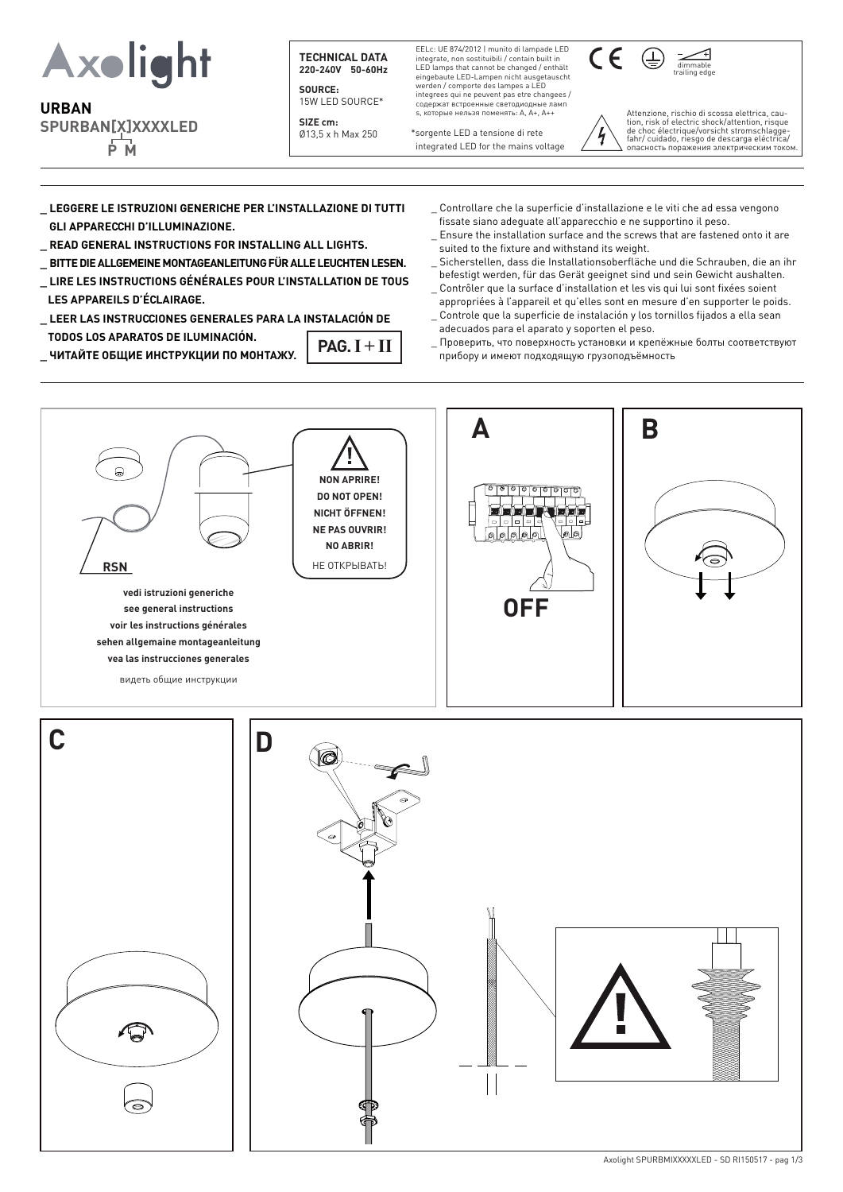

# **URBAN SPURBAN[X]XXXXLED P M**

**TECHNICAL DATA 220-240V 50-60Hz** 

**SOURCE:** 15W LED SOURCE\*

**SIZE cm:** Ø13,5 x h Max 250 EELc: UE 874/2012 | munito di lampade LED integrate, non sostituibili / contain built in LED lamps that cannot be changed / enthält eingebaute LED-Lampen nicht ausgetauscht werden / comporte des lampes a LED integrees qui ne peuvent pas etre changees / содержат встроенные светодиодныe ламп s, которые нельзя поменять: A, A+, A++

compatibility and performance must be verified and performance must be verified  $\alpha$ 

\*sorgente LED a tensione di rete integrated LED for the mains voltage



Attenzione, rischio di scossa elettrica, cau- tion, risk of electric shock/attention, risque de choc électrique/vorsicht stromschlagge- fahr/ cuidado, riesgo de descarga eléctrica/ h опасность поражения электрическим током.

- **\_ LEGGERE LE ISTRUZIONI GENERICHE PER L'INSTALLAZIONE DI TUTTI GLI APPARECCHI D'ILLUMINAZIONE.**
- **\_ READ GENERAL INSTRUCTIONS FOR INSTALLING ALL LIGHTS.**
- **\_ BITTE DIE ALLGEMEINE MONTAGEANLEITUNG FÜR ALLE LEUCHTEN LESEN. \_ LIRE LES INSTRUCTIONS GÉNÉRALES POUR L'INSTALLATION DE TOUS**
- **LES APPAREILS D'ÉCLAIRAGE. \_ LEER LAS INSTRUCCIONES GENERALES PARA LA INSTALACIÓN DE**
- **TODOS LOS APARATOS DE ILUMINACIÓN.**  $PAG. I + II$
- **\_ ЧИТАЙТЕ ОБЩИЕ ИНСТРУКЦИИ ПО МОНТАЖУ.**
- \_ Controllare che la superficie d'installazione e le viti che ad essa vengono fissate siano adeguate all'apparecchio e ne supportino il peso.
- \_ Ensure the installation surface and the screws that are fastened onto it are suited to the fixture and withstand its weight.
- \_ Sicherstellen, dass die Installationsoberfläche und die Schrauben, die an ihr befestigt werden, für das Gerät geeignet sind und sein Gewicht aushalten.
- Contrôler que la surface d'installation et les vis qui lui sont fixées soient appropriées à l'appareil et qu'elles sont en mesure d'en supporter le poids. \_ Controle que la superficie de instalación y los tornillos fijados a ella sean
- adecuados para el aparato y soporten el peso.
- \_ Проверить, что поверхность установки и крепёжные болты соответствуют прибору и имеют подходящую грузоподъёмность

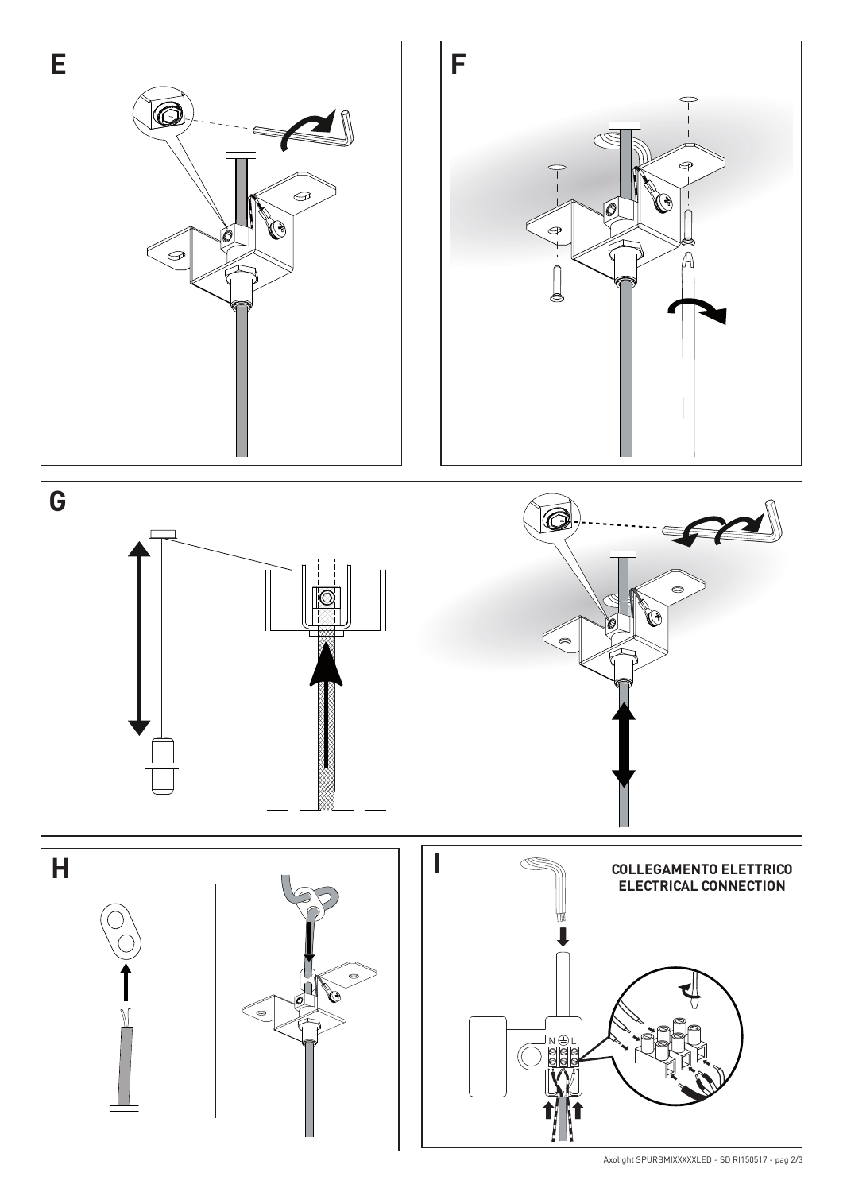

Axolight SPURBMIXXXXXLED - SD RI150517 - pag 2/3